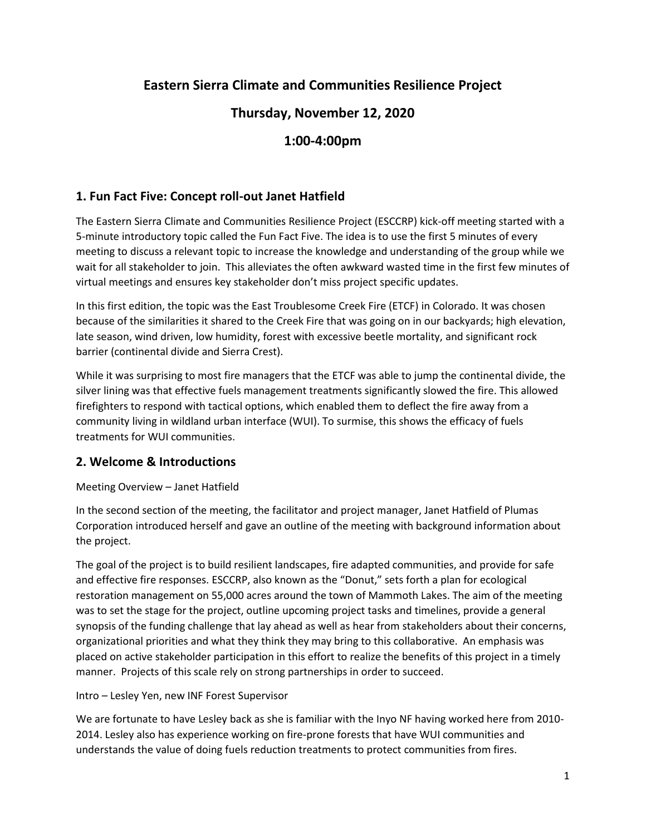# **Eastern Sierra Climate and Communities Resilience Project**

# **Thursday, November 12, 2020**

# **1:00-4:00pm**

## **1. Fun Fact Five: Concept roll-out Janet Hatfield**

The Eastern Sierra Climate and Communities Resilience Project (ESCCRP) kick-off meeting started with a 5-minute introductory topic called the Fun Fact Five. The idea is to use the first 5 minutes of every meeting to discuss a relevant topic to increase the knowledge and understanding of the group while we wait for all stakeholder to join. This alleviates the often awkward wasted time in the first few minutes of virtual meetings and ensures key stakeholder don't miss project specific updates.

In this first edition, the topic was the East Troublesome Creek Fire (ETCF) in Colorado. It was chosen because of the similarities it shared to the Creek Fire that was going on in our backyards; high elevation, late season, wind driven, low humidity, forest with excessive beetle mortality, and significant rock barrier (continental divide and Sierra Crest).

While it was surprising to most fire managers that the ETCF was able to jump the continental divide, the silver lining was that effective fuels management treatments significantly slowed the fire. This allowed firefighters to respond with tactical options, which enabled them to deflect the fire away from a community living in wildland urban interface (WUI). To surmise, this shows the efficacy of fuels treatments for WUI communities.

### **2. Welcome & Introductions**

Meeting Overview – Janet Hatfield

In the second section of the meeting, the facilitator and project manager, Janet Hatfield of Plumas Corporation introduced herself and gave an outline of the meeting with background information about the project.

The goal of the project is to build resilient landscapes, fire adapted communities, and provide for safe and effective fire responses. ESCCRP, also known as the "Donut," sets forth a plan for ecological restoration management on 55,000 acres around the town of Mammoth Lakes. The aim of the meeting was to set the stage for the project, outline upcoming project tasks and timelines, provide a general synopsis of the funding challenge that lay ahead as well as hear from stakeholders about their concerns, organizational priorities and what they think they may bring to this collaborative. An emphasis was placed on active stakeholder participation in this effort to realize the benefits of this project in a timely manner. Projects of this scale rely on strong partnerships in order to succeed.

Intro – Lesley Yen, new INF Forest Supervisor

We are fortunate to have Lesley back as she is familiar with the Inyo NF having worked here from 2010- 2014. Lesley also has experience working on fire-prone forests that have WUI communities and understands the value of doing fuels reduction treatments to protect communities from fires.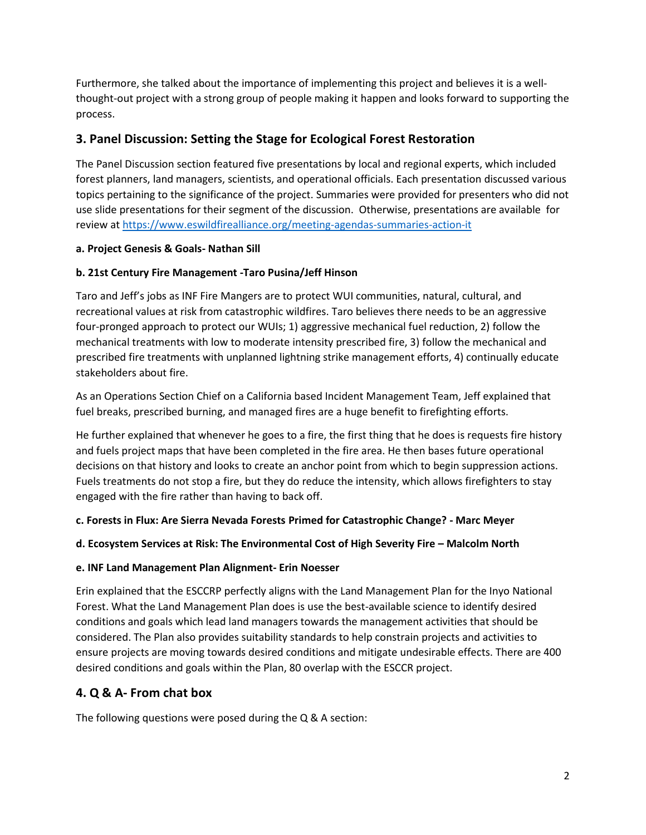Furthermore, she talked about the importance of implementing this project and believes it is a wellthought-out project with a strong group of people making it happen and looks forward to supporting the process.

## **3. Panel Discussion: Setting the Stage for Ecological Forest Restoration**

The Panel Discussion section featured five presentations by local and regional experts, which included forest planners, land managers, scientists, and operational officials. Each presentation discussed various topics pertaining to the significance of the project. Summaries were provided for presenters who did not use slide presentations for their segment of the discussion. Otherwise, presentations are available for review at<https://www.eswildfirealliance.org/meeting-agendas-summaries-action-it>

#### **a. Project Genesis & Goals- Nathan Sill**

### **b. 21st Century Fire Management -Taro Pusina/Jeff Hinson**

Taro and Jeff's jobs as INF Fire Mangers are to protect WUI communities, natural, cultural, and recreational values at risk from catastrophic wildfires. Taro believes there needs to be an aggressive four-pronged approach to protect our WUIs; 1) aggressive mechanical fuel reduction, 2) follow the mechanical treatments with low to moderate intensity prescribed fire, 3) follow the mechanical and prescribed fire treatments with unplanned lightning strike management efforts, 4) continually educate stakeholders about fire.

As an Operations Section Chief on a California based Incident Management Team, Jeff explained that fuel breaks, prescribed burning, and managed fires are a huge benefit to firefighting efforts.

He further explained that whenever he goes to a fire, the first thing that he does is requests fire history and fuels project maps that have been completed in the fire area. He then bases future operational decisions on that history and looks to create an anchor point from which to begin suppression actions. Fuels treatments do not stop a fire, but they do reduce the intensity, which allows firefighters to stay engaged with the fire rather than having to back off.

**c. Forests in Flux: Are Sierra Nevada Forests Primed for Catastrophic Change? - Marc Meyer** 

#### **d. Ecosystem Services at Risk: The Environmental Cost of High Severity Fire – Malcolm North**

#### **e. INF Land Management Plan Alignment- Erin Noesser**

Erin explained that the ESCCRP perfectly aligns with the Land Management Plan for the Inyo National Forest. What the Land Management Plan does is use the best-available science to identify desired conditions and goals which lead land managers towards the management activities that should be considered. The Plan also provides suitability standards to help constrain projects and activities to ensure projects are moving towards desired conditions and mitigate undesirable effects. There are 400 desired conditions and goals within the Plan, 80 overlap with the ESCCR project.

# **4. Q & A- From chat box**

The following questions were posed during the Q & A section: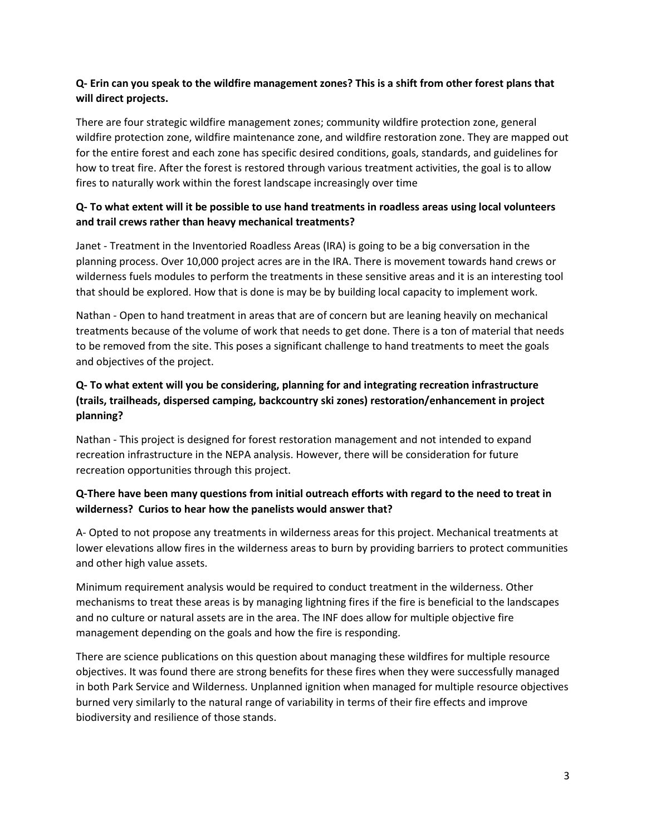### **Q- Erin can you speak to the wildfire management zones? This is a shift from other forest plans that will direct projects.**

There are four strategic wildfire management zones; community wildfire protection zone, general wildfire protection zone, wildfire maintenance zone, and wildfire restoration zone. They are mapped out for the entire forest and each zone has specific desired conditions, goals, standards, and guidelines for how to treat fire. After the forest is restored through various treatment activities, the goal is to allow fires to naturally work within the forest landscape increasingly over time

### **Q- To what extent will it be possible to use hand treatments in roadless areas using local volunteers and trail crews rather than heavy mechanical treatments?**

Janet - Treatment in the Inventoried Roadless Areas (IRA) is going to be a big conversation in the planning process. Over 10,000 project acres are in the IRA. There is movement towards hand crews or wilderness fuels modules to perform the treatments in these sensitive areas and it is an interesting tool that should be explored. How that is done is may be by building local capacity to implement work.

Nathan - Open to hand treatment in areas that are of concern but are leaning heavily on mechanical treatments because of the volume of work that needs to get done. There is a ton of material that needs to be removed from the site. This poses a significant challenge to hand treatments to meet the goals and objectives of the project.

### **Q- To what extent will you be considering, planning for and integrating recreation infrastructure (trails, trailheads, dispersed camping, backcountry ski zones) restoration/enhancement in project planning?**

Nathan - This project is designed for forest restoration management and not intended to expand recreation infrastructure in the NEPA analysis. However, there will be consideration for future recreation opportunities through this project.

### **Q-There have been many questions from initial outreach efforts with regard to the need to treat in wilderness? Curios to hear how the panelists would answer that?**

A- Opted to not propose any treatments in wilderness areas for this project. Mechanical treatments at lower elevations allow fires in the wilderness areas to burn by providing barriers to protect communities and other high value assets.

Minimum requirement analysis would be required to conduct treatment in the wilderness. Other mechanisms to treat these areas is by managing lightning fires if the fire is beneficial to the landscapes and no culture or natural assets are in the area. The INF does allow for multiple objective fire management depending on the goals and how the fire is responding.

There are science publications on this question about managing these wildfires for multiple resource objectives. It was found there are strong benefits for these fires when they were successfully managed in both Park Service and Wilderness. Unplanned ignition when managed for multiple resource objectives burned very similarly to the natural range of variability in terms of their fire effects and improve biodiversity and resilience of those stands.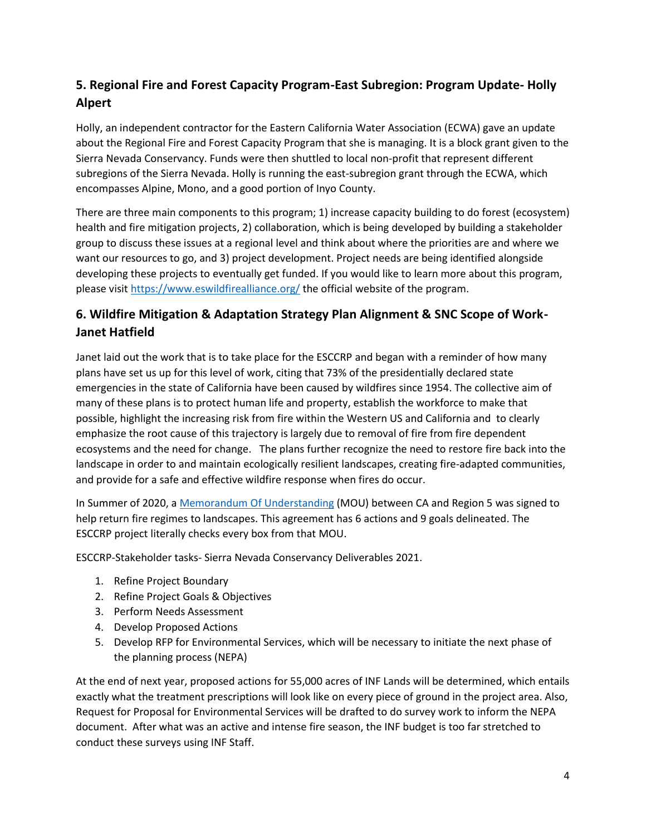# **5. Regional Fire and Forest Capacity Program-East Subregion: Program Update- Holly Alpert**

Holly, an independent contractor for the Eastern California Water Association (ECWA) gave an update about the Regional Fire and Forest Capacity Program that she is managing. It is a block grant given to the Sierra Nevada Conservancy. Funds were then shuttled to local non-profit that represent different subregions of the Sierra Nevada. Holly is running the east-subregion grant through the ECWA, which encompasses Alpine, Mono, and a good portion of Inyo County.

There are three main components to this program; 1) increase capacity building to do forest (ecosystem) health and fire mitigation projects, 2) collaboration, which is being developed by building a stakeholder group to discuss these issues at a regional level and think about where the priorities are and where we want our resources to go, and 3) project development. Project needs are being identified alongside developing these projects to eventually get funded. If you would like to learn more about this program, please visit<https://www.eswildfirealliance.org/> the official website of the program.

# **6. Wildfire Mitigation & Adaptation Strategy Plan Alignment & SNC Scope of Work-Janet Hatfield**

Janet laid out the work that is to take place for the ESCCRP and began with a reminder of how many plans have set us up for this level of work, citing that 73% of the presidentially declared state emergencies in the state of California have been caused by wildfires since 1954. The collective aim of many of these plans is to protect human life and property, establish the workforce to make that possible, highlight the increasing risk from fire within the Western US and California and to clearly emphasize the root cause of this trajectory is largely due to removal of fire from fire dependent ecosystems and the need for change. The plans further recognize the need to restore fire back into the landscape in order to and maintain ecologically resilient landscapes, creating fire-adapted communities, and provide for a safe and effective wildfire response when fires do occur.

In Summer of 2020, a Memorandum [Of Understanding](https://www.fs.usda.gov/sites/default/files/CA-Shared-Stewardship-MOU-8-12-20.pdf) (MOU) between CA and Region 5 was signed to help return fire regimes to landscapes. This agreement has 6 actions and 9 goals delineated. The ESCCRP project literally checks every box from that MOU.

ESCCRP-Stakeholder tasks- Sierra Nevada Conservancy Deliverables 2021.

- 1. Refine Project Boundary
- 2. Refine Project Goals & Objectives
- 3. Perform Needs Assessment
- 4. Develop Proposed Actions
- 5. Develop RFP for Environmental Services, which will be necessary to initiate the next phase of the planning process (NEPA)

At the end of next year, proposed actions for 55,000 acres of INF Lands will be determined, which entails exactly what the treatment prescriptions will look like on every piece of ground in the project area. Also, Request for Proposal for Environmental Services will be drafted to do survey work to inform the NEPA document. After what was an active and intense fire season, the INF budget is too far stretched to conduct these surveys using INF Staff.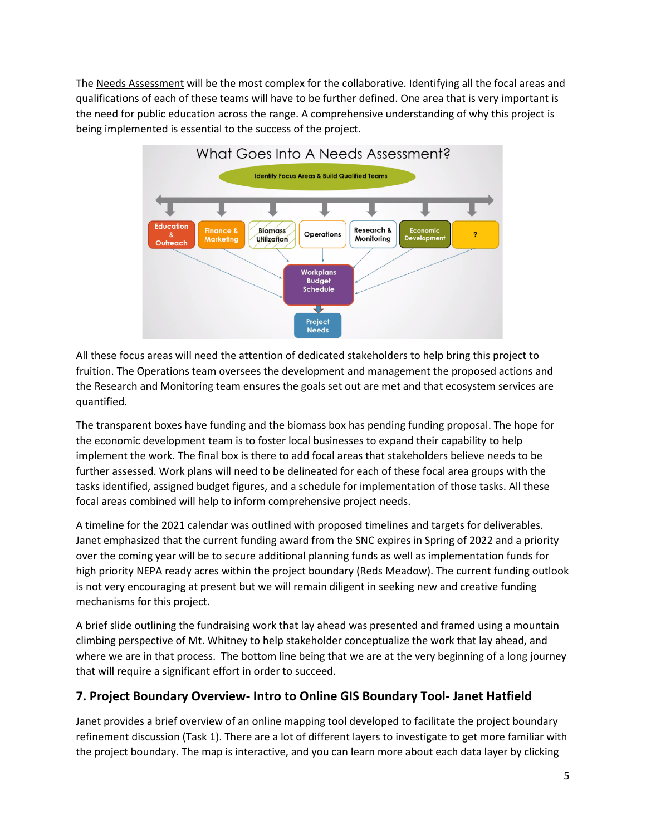The Needs Assessment will be the most complex for the collaborative. Identifying all the focal areas and qualifications of each of these teams will have to be further defined. One area that is very important is the need for public education across the range. A comprehensive understanding of why this project is being implemented is essential to the success of the project.



All these focus areas will need the attention of dedicated stakeholders to help bring this project to fruition. The Operations team oversees the development and management the proposed actions and the Research and Monitoring team ensures the goals set out are met and that ecosystem services are quantified.

The transparent boxes have funding and the biomass box has pending funding proposal. The hope for the economic development team is to foster local businesses to expand their capability to help implement the work. The final box is there to add focal areas that stakeholders believe needs to be further assessed. Work plans will need to be delineated for each of these focal area groups with the tasks identified, assigned budget figures, and a schedule for implementation of those tasks. All these focal areas combined will help to inform comprehensive project needs.

A timeline for the 2021 calendar was outlined with proposed timelines and targets for deliverables. Janet emphasized that the current funding award from the SNC expires in Spring of 2022 and a priority over the coming year will be to secure additional planning funds as well as implementation funds for high priority NEPA ready acres within the project boundary (Reds Meadow). The current funding outlook is not very encouraging at present but we will remain diligent in seeking new and creative funding mechanisms for this project.

A brief slide outlining the fundraising work that lay ahead was presented and framed using a mountain climbing perspective of Mt. Whitney to help stakeholder conceptualize the work that lay ahead, and where we are in that process. The bottom line being that we are at the very beginning of a long journey that will require a significant effort in order to succeed.

# **7. Project Boundary Overview- Intro to Online GIS Boundary Tool- Janet Hatfield**

Janet provides a brief overview of an online mapping tool developed to facilitate the project boundary refinement discussion (Task 1). There are a lot of different layers to investigate to get more familiar with the project boundary. The map is interactive, and you can learn more about each data layer by clicking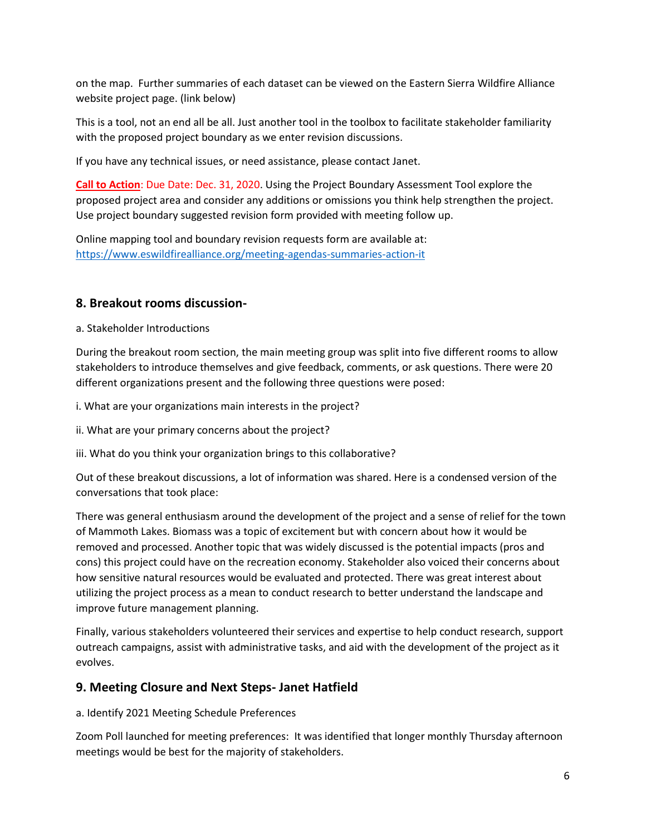on the map. Further summaries of each dataset can be viewed on the Eastern Sierra Wildfire Alliance website project page. (link below)

This is a tool, not an end all be all. Just another tool in the toolbox to facilitate stakeholder familiarity with the proposed project boundary as we enter revision discussions.

If you have any technical issues, or need assistance, please contact Janet.

**Call to Action**: Due Date: Dec. 31, 2020. Using the Project Boundary Assessment Tool explore the proposed project area and consider any additions or omissions you think help strengthen the project. Use project boundary suggested revision form provided with meeting follow up.

Online mapping tool and boundary revision requests form are available at: <https://www.eswildfirealliance.org/meeting-agendas-summaries-action-it>

### **8. Breakout rooms discussion-**

a. Stakeholder Introductions

During the breakout room section, the main meeting group was split into five different rooms to allow stakeholders to introduce themselves and give feedback, comments, or ask questions. There were 20 different organizations present and the following three questions were posed:

i. What are your organizations main interests in the project?

ii. What are your primary concerns about the project?

iii. What do you think your organization brings to this collaborative?

Out of these breakout discussions, a lot of information was shared. Here is a condensed version of the conversations that took place:

There was general enthusiasm around the development of the project and a sense of relief for the town of Mammoth Lakes. Biomass was a topic of excitement but with concern about how it would be removed and processed. Another topic that was widely discussed is the potential impacts (pros and cons) this project could have on the recreation economy. Stakeholder also voiced their concerns about how sensitive natural resources would be evaluated and protected. There was great interest about utilizing the project process as a mean to conduct research to better understand the landscape and improve future management planning.

Finally, various stakeholders volunteered their services and expertise to help conduct research, support outreach campaigns, assist with administrative tasks, and aid with the development of the project as it evolves.

### **9. Meeting Closure and Next Steps- Janet Hatfield**

a. Identify 2021 Meeting Schedule Preferences

Zoom Poll launched for meeting preferences: It was identified that longer monthly Thursday afternoon meetings would be best for the majority of stakeholders.